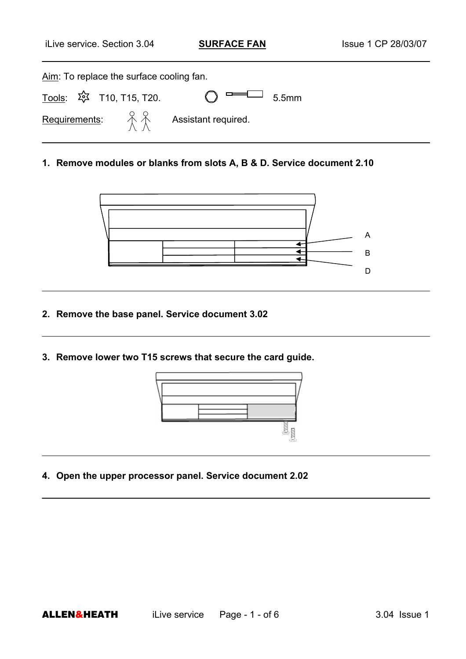| Aim: To replace the surface cooling fan.                                                 |                                                                                   |
|------------------------------------------------------------------------------------------|-----------------------------------------------------------------------------------|
| <u>Tools</u> : 玲 T10, T15, T20.                                                          | $\bigcap$ $\begin{array}{c} \square \longrightarrow \\ 5.5 \text{mm} \end{array}$ |
| <b>Requirements:</b> $\begin{matrix} 0 & 0 \\ \uparrow \end{matrix}$ Assistant required. |                                                                                   |

**1. Remove modules or blanks from slots A, B & D. Service document 2.10** 



- **2. Remove the base panel. Service document 3.02**
- **3. Remove lower two T15 screws that secure the card guide.**



**4. Open the upper processor panel. Service document 2.02**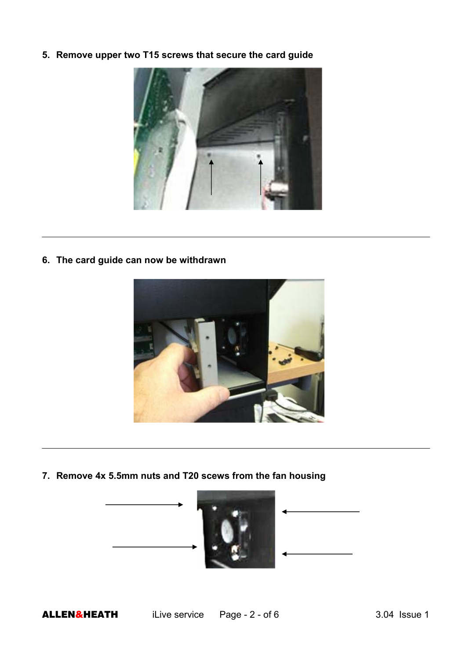**5. Remove upper two T15 screws that secure the card guide** 



**6. The card guide can now be withdrawn** 



**7. Remove 4x 5.5mm nuts and T20 scews from the fan housing** 

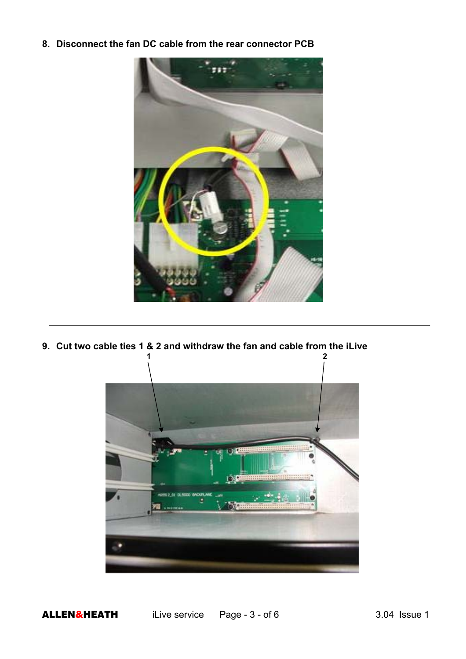**8. Disconnect the fan DC cable from the rear connector PCB** 



**9. Cut two cable ties 1 & 2 and withdraw the fan and cable from the iLive 1 2** 



ALLEN&HEATH iLive service Page - 3 - of 6 3.04 Issue 1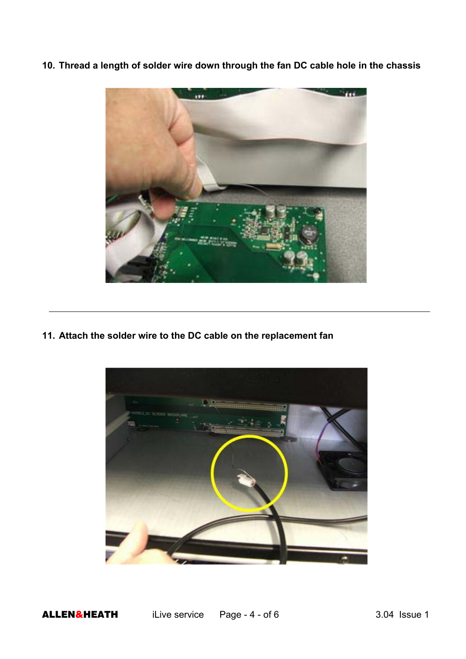**10. Thread a length of solder wire down through the fan DC cable hole in the chassis** 



**11. Attach the solder wire to the DC cable on the replacement fan** 

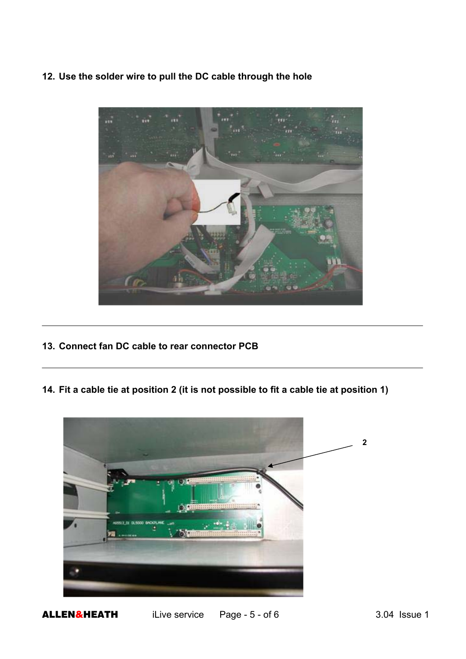**12. Use the solder wire to pull the DC cable through the hole** 



- **13. Connect fan DC cable to rear connector PCB**
- **14. Fit a cable tie at position 2 (it is not possible to fit a cable tie at position 1)**